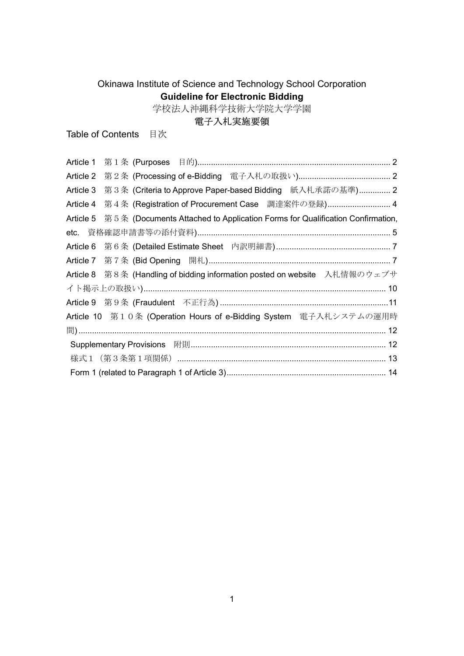# Okinawa Institute of Science and Technology School Corporation Guideline for Electronic Bidding

学校法人沖縄科学技術大学院大学学園

# 電子入札実施要領

Table of Contents 目次

| Article 1 |                                                                              |
|-----------|------------------------------------------------------------------------------|
| Article 2 |                                                                              |
| Article 3 | 第3条 (Criteria to Approve Paper-based Bidding 紙入札承諾の基準) 2                     |
| Article 4 | 第4条 (Registration of Procurement Case 調達案件の登録) 4                             |
| Article 5 | 第5条 (Documents Attached to Application Forms for Qualification Confirmation, |
|           |                                                                              |
| Article 6 |                                                                              |
|           |                                                                              |
|           |                                                                              |
|           | Article 8 第8条 (Handling of bidding information posted on website 入札情報のウェブサ   |
|           |                                                                              |
|           |                                                                              |
|           | Article 10 第10条 (Operation Hours of e-Bidding System 電子入札システムの運用時            |
|           |                                                                              |
|           | Supplementary Provisions 附則………………………………………………………………………… 12                   |
|           | 様式1 (第3条第1項関係) …………………………………………………………………………… 13                              |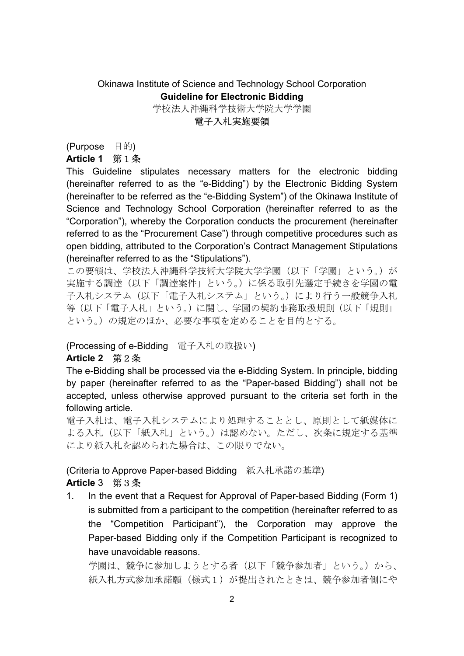# Okinawa Institute of Science and Technology School Corporation Guideline for Electronic Bidding

学校法人沖縄科学技術大学院大学学園

#### 電子入札実施要領

(Purpose 目的)

## Article 1 第1条

This Guideline stipulates necessary matters for the electronic bidding (hereinafter referred to as the "e-Bidding") by the Electronic Bidding System (hereinafter to be referred as the "e-Bidding System") of the Okinawa Institute of Science and Technology School Corporation (hereinafter referred to as the "Corporation"), whereby the Corporation conducts the procurement (hereinafter referred to as the "Procurement Case") through competitive procedures such as open bidding, attributed to the Corporation's Contract Management Stipulations (hereinafter referred to as the "Stipulations").

この要領は、学校法人沖縄科学技術大学院大学学園(以下「学園」という。)が 実施する調達(以下「調達案件」という。)に係る取引先選定手続きを学園の電 子入札システム(以下「電子入札システム」という。)により行う一般競争入札 等(以下「電子入札」という。)に関し、学園の契約事務取扱規則(以下「規則」 という。)の規定のほか、必要な事項を定めることを目的とする。

#### (Processing of e-Bidding 電子入札の取扱い)

## Article 2 第2条

The e-Bidding shall be processed via the e-Bidding System. In principle, bidding by paper (hereinafter referred to as the "Paper-based Bidding") shall not be accepted, unless otherwise approved pursuant to the criteria set forth in the following article.

電子入札は、電子入札システムにより処理することとし、原則として紙媒体に よる入札(以下「紙入札」という。)は認めない。ただし、次条に規定する基準 により紙入札を認められた場合は、この限りでない。

(Criteria to Approve Paper-based Bidding 紙入札承諾の基準) Article 3 第3条

1. In the event that a Request for Approval of Paper-based Bidding (Form 1) is submitted from a participant to the competition (hereinafter referred to as the "Competition Participant"), the Corporation may approve the Paper-based Bidding only if the Competition Participant is recognized to have unavoidable reasons.

学園は、競争に参加しようとする者(以下「競争参加者」という。)から、 紙入札方式参加承諾願(様式1)が提出されたときは、競争参加者側にや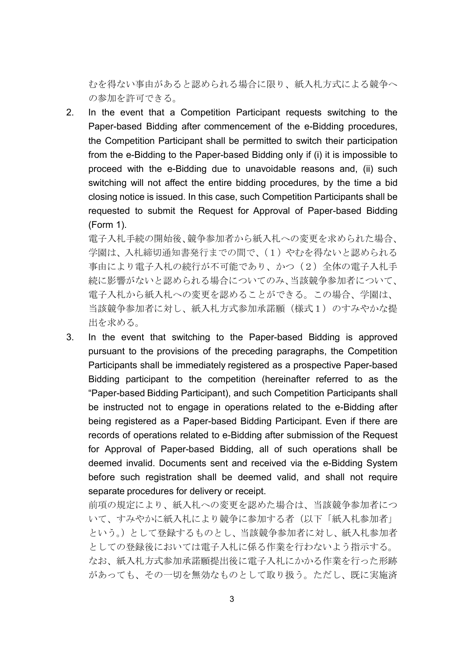むを得ない事由があると認められる場合に限り、紙入札方式による競争へ の参加を許可できる。

2. In the event that a Competition Participant requests switching to the Paper-based Bidding after commencement of the e-Bidding procedures, the Competition Participant shall be permitted to switch their participation from the e-Bidding to the Paper-based Bidding only if (i) it is impossible to proceed with the e-Bidding due to unavoidable reasons and, (ii) such switching will not affect the entire bidding procedures, by the time a bid closing notice is issued. In this case, such Competition Participants shall be requested to submit the Request for Approval of Paper-based Bidding (Form 1).

電子入札手続の開始後、競争参加者から紙入札への変更を求められた場合、 学園は、入札締切通知書発行までの間で、(1)やむを得ないと認められる 事由により電子入札の続行が不可能であり、かつ(2)全体の電子入札手 続に影響がないと認められる場合についてのみ、当該競争参加者について、 電子入札から紙入札への変更を認めることができる。この場合、学園は、 当該競争参加者に対し、紙入札方式参加承諾願(様式1)のすみやかな提 出を求める。

3. In the event that switching to the Paper-based Bidding is approved pursuant to the provisions of the preceding paragraphs, the Competition Participants shall be immediately registered as a prospective Paper-based Bidding participant to the competition (hereinafter referred to as the "Paper-based Bidding Participant), and such Competition Participants shall be instructed not to engage in operations related to the e-Bidding after being registered as a Paper-based Bidding Participant. Even if there are records of operations related to e-Bidding after submission of the Request for Approval of Paper-based Bidding, all of such operations shall be deemed invalid. Documents sent and received via the e-Bidding System before such registration shall be deemed valid, and shall not require separate procedures for delivery or receipt.

前項の規定により、紙入札への変更を認めた場合は、当該競争参加者につ いて、すみやかに紙入札により競争に参加する者(以下「紙入札参加者」 という。)として登録するものとし、当該競争参加者に対し、紙入札参加者 としての登録後においては電子入札に係る作業を行わないよう指示する。 なお、紙入札方式参加承諾願提出後に電子入札にかかる作業を行った形跡 があっても、その一切を無効なものとして取り扱う。ただし、既に実施済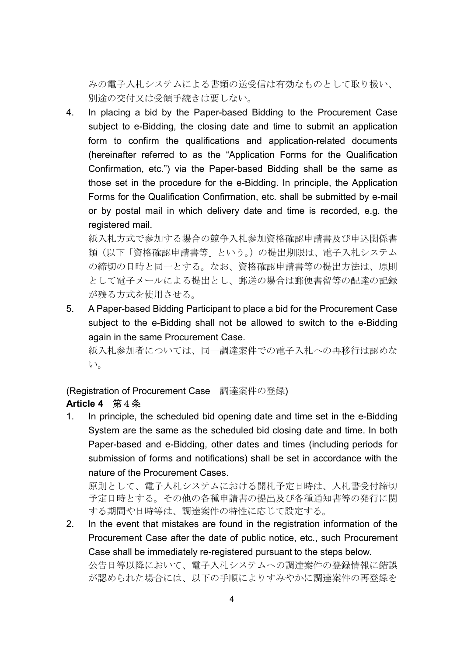みの電子入札システムによる書類の送受信は有効なものとして取り扱い、 別途の交付又は受領手続きは要しない。

4. In placing a bid by the Paper-based Bidding to the Procurement Case subject to e-Bidding, the closing date and time to submit an application form to confirm the qualifications and application-related documents (hereinafter referred to as the "Application Forms for the Qualification Confirmation, etc.") via the Paper-based Bidding shall be the same as those set in the procedure for the e-Bidding. In principle, the Application Forms for the Qualification Confirmation, etc. shall be submitted by e-mail or by postal mail in which delivery date and time is recorded, e.g. the registered mail.

紙入札方式で参加する場合の競争入札参加資格確認申請書及び申込関係書 類(以下「資格確認申請書等」という。)の提出期限は、電子入札システム の締切の日時と同一とする。なお、資格確認申請書等の提出方法は、原則 として電子メールによる提出とし、郵送の場合は郵便書留等の配達の記録 が残る方式を使用させる。

5. A Paper-based Bidding Participant to place a bid for the Procurement Case subject to the e-Bidding shall not be allowed to switch to the e-Bidding again in the same Procurement Case.

紙入札参加者については、同一調達案件での電子入札への再移行は認めな い。

(Registration of Procurement Case 調達案件の登録)

## Article 4 第4条

1. In principle, the scheduled bid opening date and time set in the e-Bidding System are the same as the scheduled bid closing date and time. In both Paper-based and e-Bidding, other dates and times (including periods for submission of forms and notifications) shall be set in accordance with the nature of the Procurement Cases.

原則として、電子入札システムにおける開札予定日時は、入札書受付締切 予定日時とする。その他の各種申請書の提出及び各種通知書等の発行に関 する期間や日時等は、調達案件の特性に応じて設定する。

2. In the event that mistakes are found in the registration information of the Procurement Case after the date of public notice, etc., such Procurement Case shall be immediately re-registered pursuant to the steps below.

公告日等以降において、電子入札システムへの調達案件の登録情報に錯誤 が認められた場合には、以下の手順によりすみやかに調達案件の再登録を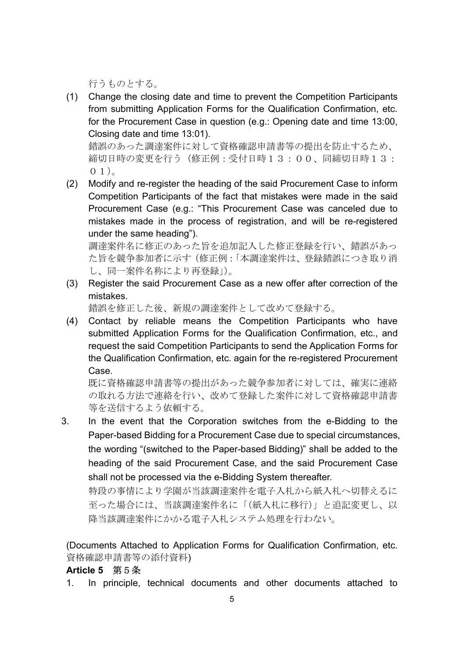行うものとする。

(1) Change the closing date and time to prevent the Competition Participants from submitting Application Forms for the Qualification Confirmation, etc. for the Procurement Case in question (e.g.: Opening date and time 13:00, Closing date and time 13:01).

錯誤のあった調達案件に対して資格確認申請書等の提出を防止するため、 締切日時の変更を行う(修正例:受付日時13:00、同締切日時13:  $(0, 1)$ <sub>。</sub>

(2) Modify and re-register the heading of the said Procurement Case to inform Competition Participants of the fact that mistakes were made in the said Procurement Case (e.g.: "This Procurement Case was canceled due to mistakes made in the process of registration, and will be re-registered under the same heading").

調達案件名に修正のあった旨を追加記入した修正登録を行い、錯誤があっ た旨を競争参加者に示す(修正例:「本調達案件は、登録錯誤につき取り消 し、同一案件名称により再登録」)。

(3) Register the said Procurement Case as a new offer after correction of the mistakes.

錯誤を修正した後、新規の調達案件として改めて登録する。

(4) Contact by reliable means the Competition Participants who have submitted Application Forms for the Qualification Confirmation, etc., and request the said Competition Participants to send the Application Forms for the Qualification Confirmation, etc. again for the re-registered Procurement Case.

既に資格確認申請書等の提出があった競争参加者に対しては、確実に連絡 の取れる方法で連絡を行い、改めて登録した案件に対して資格確認申請書 等を送信するよう依頼する。

3. In the event that the Corporation switches from the e-Bidding to the Paper-based Bidding for a Procurement Case due to special circumstances, the wording "(switched to the Paper-based Bidding)" shall be added to the heading of the said Procurement Case, and the said Procurement Case shall not be processed via the e-Bidding System thereafter.

特段の事情により学園が当該調達案件を電子入札から紙入札へ切替えるに 至った場合には、当該調達案件名に「(紙入札に移行)」と追記変更し、以 降当該調達案件にかかる電子入札システム処理を行わない。

(Documents Attached to Application Forms for Qualification Confirmation, etc. 資格確認申請書等の添付資料)

#### Article 5 第5条

1. In principle, technical documents and other documents attached to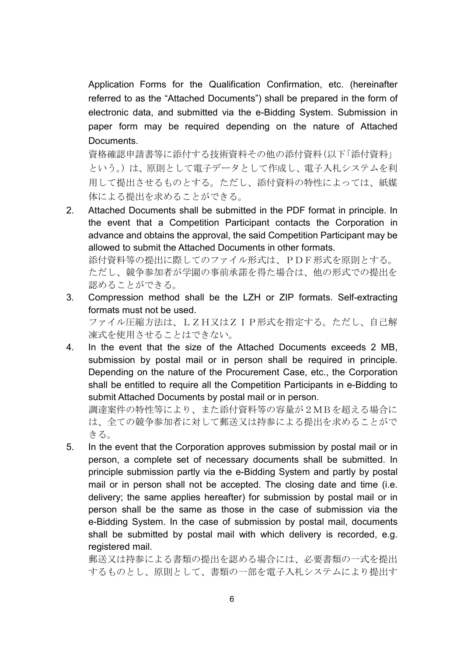Application Forms for the Qualification Confirmation, etc. (hereinafter referred to as the "Attached Documents") shall be prepared in the form of electronic data, and submitted via the e-Bidding System. Submission in paper form may be required depending on the nature of Attached Documents.

資格確認申請書等に添付する技術資料その他の添付資料(以下「添付資料」 という。)は、原則として電子データとして作成し、電子入札システムを利 用して提出させるものとする。ただし、添付資料の特性によっては、紙媒 体による提出を求めることができる。

2. Attached Documents shall be submitted in the PDF format in principle. In the event that a Competition Participant contacts the Corporation in advance and obtains the approval, the said Competition Participant may be allowed to submit the Attached Documents in other formats.

添付資料等の提出に際してのファイル形式は、PDF形式を原則とする。 ただし、競争参加者が学園の事前承諾を得た場合は、他の形式での提出を 認めることができる。

3. Compression method shall be the LZH or ZIP formats. Self-extracting formats must not be used.

ファイル圧縮方法は、LZH又はZIP形式を指定する。ただし、自己解 凍式を使用させることはできない。

4. In the event that the size of the Attached Documents exceeds 2 MB, submission by postal mail or in person shall be required in principle. Depending on the nature of the Procurement Case, etc., the Corporation shall be entitled to require all the Competition Participants in e-Bidding to submit Attached Documents by postal mail or in person.

調達案件の特性等により、また添付資料等の容量が2MBを超える場合に は、全ての競争参加者に対して郵送又は持参による提出を求めることがで きる。

5. In the event that the Corporation approves submission by postal mail or in person, a complete set of necessary documents shall be submitted. In principle submission partly via the e-Bidding System and partly by postal mail or in person shall not be accepted. The closing date and time (i.e. delivery; the same applies hereafter) for submission by postal mail or in person shall be the same as those in the case of submission via the e-Bidding System. In the case of submission by postal mail, documents shall be submitted by postal mail with which delivery is recorded, e.g. registered mail.

郵送又は持参による書類の提出を認める場合には、必要書類の一式を提出 するものとし、原則として、書類の一部を電子入札システムにより提出す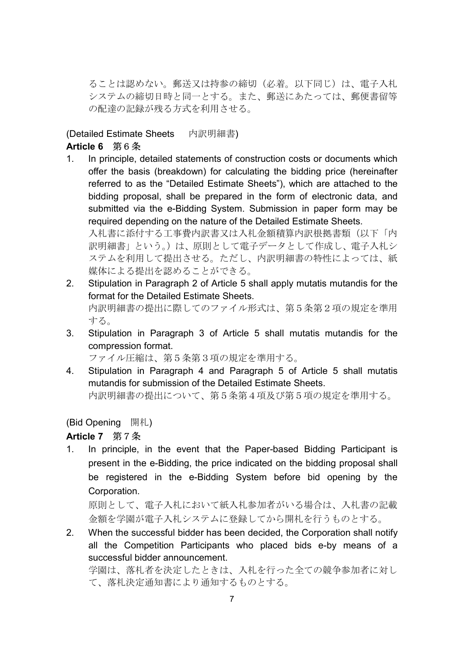ることは認めない。郵送又は持参の締切(必着。以下同じ)は、電子入札 システムの締切日時と同一とする。また、郵送にあたっては、郵便書留等 の配達の記録が残る方式を利用させる。

## (Detailed Estimate Sheets 内訳明細書) Article 6 第6条

1. In principle, detailed statements of construction costs or documents which offer the basis (breakdown) for calculating the bidding price (hereinafter referred to as the "Detailed Estimate Sheets"), which are attached to the bidding proposal, shall be prepared in the form of electronic data, and submitted via the e-Bidding System. Submission in paper form may be required depending on the nature of the Detailed Estimate Sheets. 入札書に添付する工事費内訳書又は入札金額積算内訳根拠書類(以下「内

訳明細書」という。)は、原則として電子データとして作成し、電子入札シ ステムを利用して提出させる。ただし、内訳明細書の特性によっては、紙 媒体による提出を認めることができる。

- 2. Stipulation in Paragraph 2 of Article 5 shall apply mutatis mutandis for the format for the Detailed Estimate Sheets. 内訳明細書の提出に際してのファイル形式は、第5条第2項の規定を準用 する。
- 3. Stipulation in Paragraph 3 of Article 5 shall mutatis mutandis for the compression format.

ファイル圧縮は、第5条第3項の規定を準用する。

4. Stipulation in Paragraph 4 and Paragraph 5 of Article 5 shall mutatis mutandis for submission of the Detailed Estimate Sheets. 内訳明細書の提出について、第5条第4項及び第5項の規定を準用する。

(Bid Opening 開札)

## Article 7 第7条

1. In principle, in the event that the Paper-based Bidding Participant is present in the e-Bidding, the price indicated on the bidding proposal shall be registered in the e-Bidding System before bid opening by the Corporation.

原則として、電子入札において紙入札参加者がいる場合は、入札書の記載 金額を学園が電子入札システムに登録してから開札を行うものとする。

2. When the successful bidder has been decided, the Corporation shall notify all the Competition Participants who placed bids e-by means of a successful bidder announcement.

学園は、落札者を決定したときは、入札を行った全ての競争参加者に対し て、落札決定通知書により通知するものとする。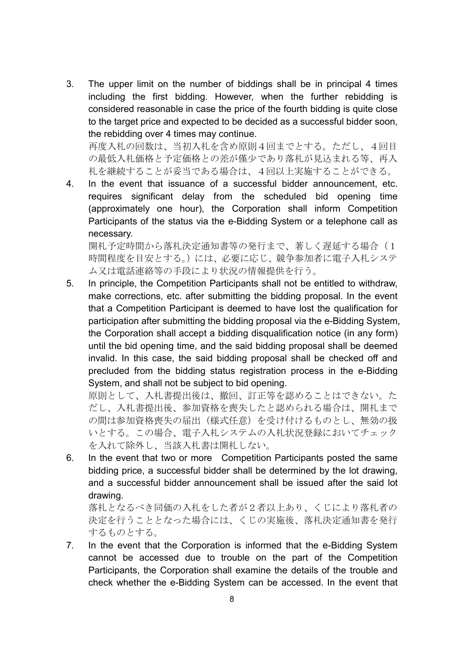3. The upper limit on the number of biddings shall be in principal 4 times including the first bidding. However, when the further rebidding is considered reasonable in case the price of the fourth bidding is quite close to the target price and expected to be decided as a successful bidder soon, the rebidding over 4 times may continue.

再度入札の回数は、当初入札を含め原則4回までとする。ただし、4回目 の最低入札価格と予定価格との差が僅少であり落札が見込まれる等、再入 札を継続することが妥当である場合は、4回以上実施することができる。

4. In the event that issuance of a successful bidder announcement, etc. requires significant delay from the scheduled bid opening time (approximately one hour), the Corporation shall inform Competition Participants of the status via the e-Bidding System or a telephone call as necessary.

開札予定時間から落札決定通知書等の発行まで、著しく遅延する場合(1 時間程度を目安とする。)には、必要に応じ、競争参加者に電子入札システ ム又は電話連絡等の手段により状況の情報提供を行う。

5. In principle, the Competition Participants shall not be entitled to withdraw, make corrections, etc. after submitting the bidding proposal. In the event that a Competition Participant is deemed to have lost the qualification for participation after submitting the bidding proposal via the e-Bidding System, the Corporation shall accept a bidding disqualification notice (in any form) until the bid opening time, and the said bidding proposal shall be deemed invalid. In this case, the said bidding proposal shall be checked off and precluded from the bidding status registration process in the e-Bidding System, and shall not be subject to bid opening.

原則として、入札書提出後は、撤回、訂正等を認めることはできない。た だし、入札書提出後、参加資格を喪失したと認められる場合は、開札まで の間は参加資格喪失の届出(様式任意)を受け付けるものとし、無効の扱 いとする。この場合、電子入札システムの入札状況登録においてチェック を入れて除外し、当該入札書は開札しない。

6. In the event that two or more Competition Participants posted the same bidding price, a successful bidder shall be determined by the lot drawing, and a successful bidder announcement shall be issued after the said lot drawing.

落札となるべき同価の入札をした者が2者以上あり、くじにより落札者の 決定を行うこととなった場合には、くじの実施後、落札決定通知書を発行 するものとする。

7. In the event that the Corporation is informed that the e-Bidding System cannot be accessed due to trouble on the part of the Competition Participants, the Corporation shall examine the details of the trouble and check whether the e-Bidding System can be accessed. In the event that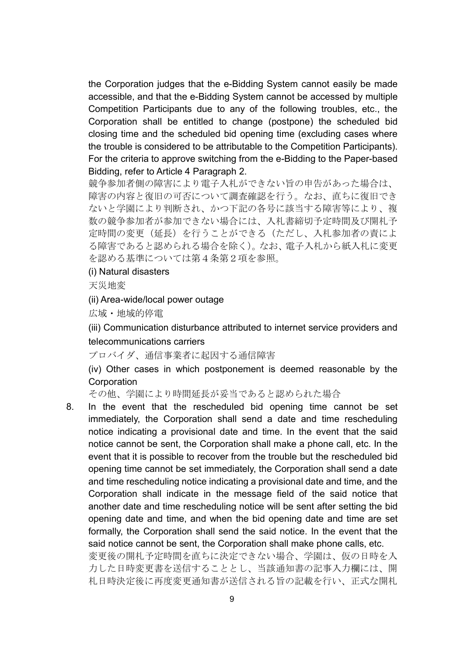the Corporation judges that the e-Bidding System cannot easily be made accessible, and that the e-Bidding System cannot be accessed by multiple Competition Participants due to any of the following troubles, etc., the Corporation shall be entitled to change (postpone) the scheduled bid closing time and the scheduled bid opening time (excluding cases where the trouble is considered to be attributable to the Competition Participants). For the criteria to approve switching from the e-Bidding to the Paper-based Bidding, refer to Article 4 Paragraph 2.

競争参加者側の障害により電子入札ができない旨の申告があった場合は、 障害の内容と復旧の可否について調査確認を行う。なお、直ちに復旧でき ないと学園により判断され、かつ下記の各号に該当する障害等により、複 数の競争参加者が参加できない場合には、入札書締切予定時間及び開札予 定時間の変更(延長)を行うことができる(ただし、入札参加者の責によ る障害であると認められる場合を除く)。なお、電子入札から紙入札に変更 を認める基準については第4条第2項を参照。

#### (i) Natural disasters

天災地変

#### (ii) Area-wide/local power outage

広域・地域的停電

(iii) Communication disturbance attributed to internet service providers and telecommunications carriers

プロバイダ、通信事業者に起因する通信障害

(iv) Other cases in which postponement is deemed reasonable by the **Corporation** 

その他、学園により時間延長が妥当であると認められた場合

8. In the event that the rescheduled bid opening time cannot be set immediately, the Corporation shall send a date and time rescheduling notice indicating a provisional date and time. In the event that the said notice cannot be sent, the Corporation shall make a phone call, etc. In the event that it is possible to recover from the trouble but the rescheduled bid opening time cannot be set immediately, the Corporation shall send a date and time rescheduling notice indicating a provisional date and time, and the Corporation shall indicate in the message field of the said notice that another date and time rescheduling notice will be sent after setting the bid opening date and time, and when the bid opening date and time are set formally, the Corporation shall send the said notice. In the event that the said notice cannot be sent, the Corporation shall make phone calls, etc.

変更後の開札予定時間を直ちに決定できない場合、学園は、仮の日時を入 力した日時変更書を送信することとし、当該通知書の記事入力欄には、開 札日時決定後に再度変更通知書が送信される旨の記載を行い、正式な開札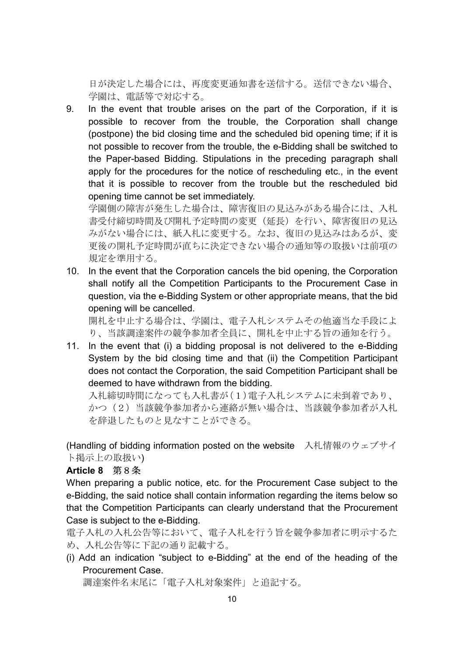日が決定した場合には、再度変更通知書を送信する。送信できない場合、 学園は、電話等で対応する。

9. In the event that trouble arises on the part of the Corporation, if it is possible to recover from the trouble, the Corporation shall change (postpone) the bid closing time and the scheduled bid opening time; if it is not possible to recover from the trouble, the e-Bidding shall be switched to the Paper-based Bidding. Stipulations in the preceding paragraph shall apply for the procedures for the notice of rescheduling etc., in the event that it is possible to recover from the trouble but the rescheduled bid opening time cannot be set immediately.

学園側の障害が発生した場合は、障害復旧の見込みがある場合には、入札 書受付締切時間及び開札予定時間の変更(延長)を行い、障害復旧の見込 みがない場合には、紙入札に変更する。なお、復旧の見込みはあるが、変 更後の開札予定時間が直ちに決定できない場合の通知等の取扱いは前項の 規定を準用する。

10. In the event that the Corporation cancels the bid opening, the Corporation shall notify all the Competition Participants to the Procurement Case in question, via the e-Bidding System or other appropriate means, that the bid opening will be cancelled.

開札を中止する場合は、学園は、電子入札システムその他適当な手段によ り、当該調達案件の競争参加者全員に、開札を中止する旨の通知を行う。

11. In the event that (i) a bidding proposal is not delivered to the e-Bidding System by the bid closing time and that (ii) the Competition Participant does not contact the Corporation, the said Competition Participant shall be deemed to have withdrawn from the bidding.

入札締切時間になっても入札書が(1)電子入札システムに未到着であり、 かつ(2)当該競争参加者から連絡が無い場合は、当該競争参加者が入札 を辞退したものと見なすことができる。

(Handling of bidding information posted on the website 入札情報のウェブサイ ト掲示上の取扱い)

## Article 8 第8条

When preparing a public notice, etc. for the Procurement Case subject to the e-Bidding, the said notice shall contain information regarding the items below so that the Competition Participants can clearly understand that the Procurement Case is subject to the e-Bidding.

電子入札の入札公告等において、電子入札を行う旨を競争参加者に明示するた め、入札公告等に下記の通り記載する。

(i) Add an indication "subject to e-Bidding" at the end of the heading of the Procurement Case.

調達案件名末尾に「電子入札対象案件」と追記する。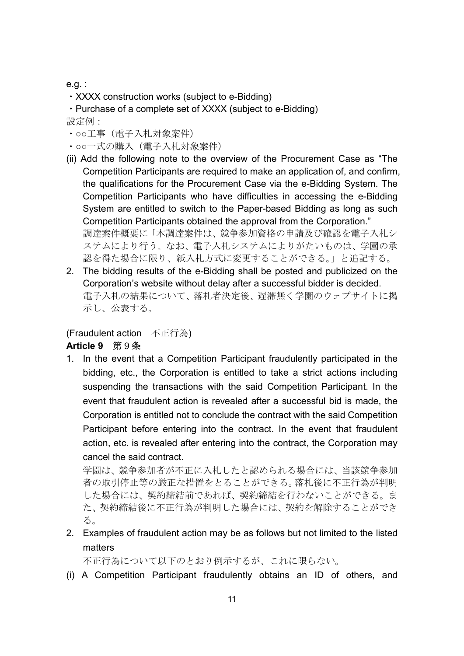#### e.g. :

- ・XXXX construction works (subject to e-Bidding)
- ・Purchase of a complete set of XXXX (subject to e-Bidding)

設定例:

- ・○○工事(電子入札対象案件)
- ・○○一式の購入(電子入札対象案件)
- (ii) Add the following note to the overview of the Procurement Case as "The Competition Participants are required to make an application of, and confirm, the qualifications for the Procurement Case via the e-Bidding System. The Competition Participants who have difficulties in accessing the e-Bidding System are entitled to switch to the Paper-based Bidding as long as such Competition Participants obtained the approval from the Corporation." 調達案件概要に「本調達案件は、競争参加資格の申請及び確認を電子入札シ ステムにより行う。なお、電子入札システムによりがたいものは、学園の承 認を得た場合に限り、紙入札方式に変更することができる。」と追記する。
- 2. The bidding results of the e-Bidding shall be posted and publicized on the Corporation's website without delay after a successful bidder is decided. 電子入札の結果について、落札者決定後、遅滞無く学園のウェブサイトに掲 示し、公表する。

(Fraudulent action 不正行為)

## Article 9 第9条

1. In the event that a Competition Participant fraudulently participated in the bidding, etc., the Corporation is entitled to take a strict actions including suspending the transactions with the said Competition Participant. In the event that fraudulent action is revealed after a successful bid is made, the Corporation is entitled not to conclude the contract with the said Competition Participant before entering into the contract. In the event that fraudulent action, etc. is revealed after entering into the contract, the Corporation may cancel the said contract.

学園は、競争参加者が不正に入札したと認められる場合には、当該競争参加 者の取引停止等の厳正な措置をとることができる。落札後に不正行為が判明 した場合には、契約締結前であれば、契約締結を行わないことができる。ま た、契約締結後に不正行為が判明した場合には、契約を解除することができ る。

2. Examples of fraudulent action may be as follows but not limited to the listed matters

不正行為について以下のとおり例示するが、これに限らない。

(i) A Competition Participant fraudulently obtains an ID of others, and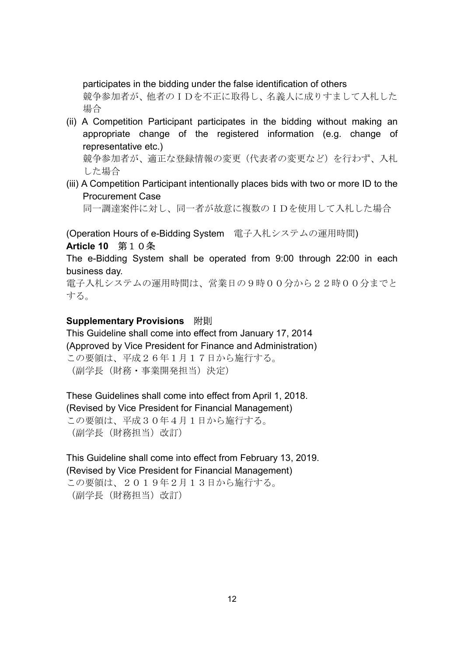participates in the bidding under the false identification of others 競争参加者が、他者のIDを不正に取得し、名義人に成りすまして入札した

場合

(ii) A Competition Participant participates in the bidding without making an appropriate change of the registered information (e.g. change of representative etc.)

競争参加者が、適正な登録情報の変更(代表者の変更など)を行わず、入札 した場合

(iii) A Competition Participant intentionally places bids with two or more ID to the Procurement Case

同一調達案件に対し、同一者が故意に複数のIDを使用して入札した場合

(Operation Hours of e-Bidding System 電子入札システムの運用時間)

#### Article 10 第10条

The e-Bidding System shall be operated from 9:00 through 22:00 in each business day.

電子入札システムの運用時間は、営業日の9時00分から22時00分までと する。

## Supplementary Provisions 附則

This Guideline shall come into effect from January 17, 2014 (Approved by Vice President for Finance and Administration) この要領は、平成26年1月17日から施行する。 (副学長(財務・事業開発担当)決定)

These Guidelines shall come into effect from April 1, 2018. (Revised by Vice President for Financial Management) この要領は、平成30年4月1日から施行する。 (副学長(財務担当)改訂)

This Guideline shall come into effect from February 13, 2019. (Revised by Vice President for Financial Management)

この要領は、2019年2月13日から施行する。 (副学長(財務担当)改訂)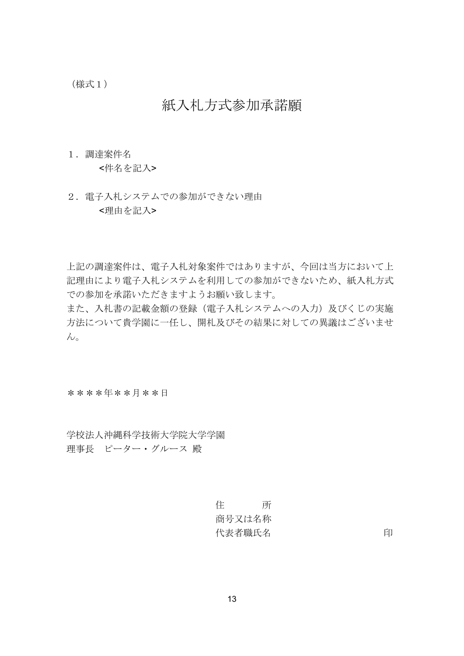(様式1)

# 紙入札方式参加承諾願

1.調達案件名

<件名を記入>

2. 電子入札システムでの参加ができない理由 <理由を記入>

上記の調達案件は、電子入札対象案件ではありますが、今回は当方において上 記理由により電子入札システムを利用しての参加ができないため、紙入札方式 での参加を承諾いただきますようお願い致します。

また、入札書の記載金額の登録(電子入札システムへの入力)及びくじの実施 方法について貴学園に一任し、開札及びその結果に対しての異議はございませ  $h<sub>o</sub>$ 

\*\*\*\*年\*\*月\*\*日

学校法人沖縄科学技術大学院大学学園 理事長 ピーター・グルース 殿

> 住 所 商号又は名称 代表者職氏名 2000年 - 2000年 - 2000年 - 2010年 - 2010年 - 2010年 - 2010年 - 2010年 - 2010年 - 2010年 - 2010年 - 2010年 - 2010年 - 2010年 - 2010年 - 2010年 - 2010年 - 2010年 - 2010年 - 2010年 - 2010年 - 2010年 - 2010年 - 2010年 - 2010年 - 2010年 - 2010年 -